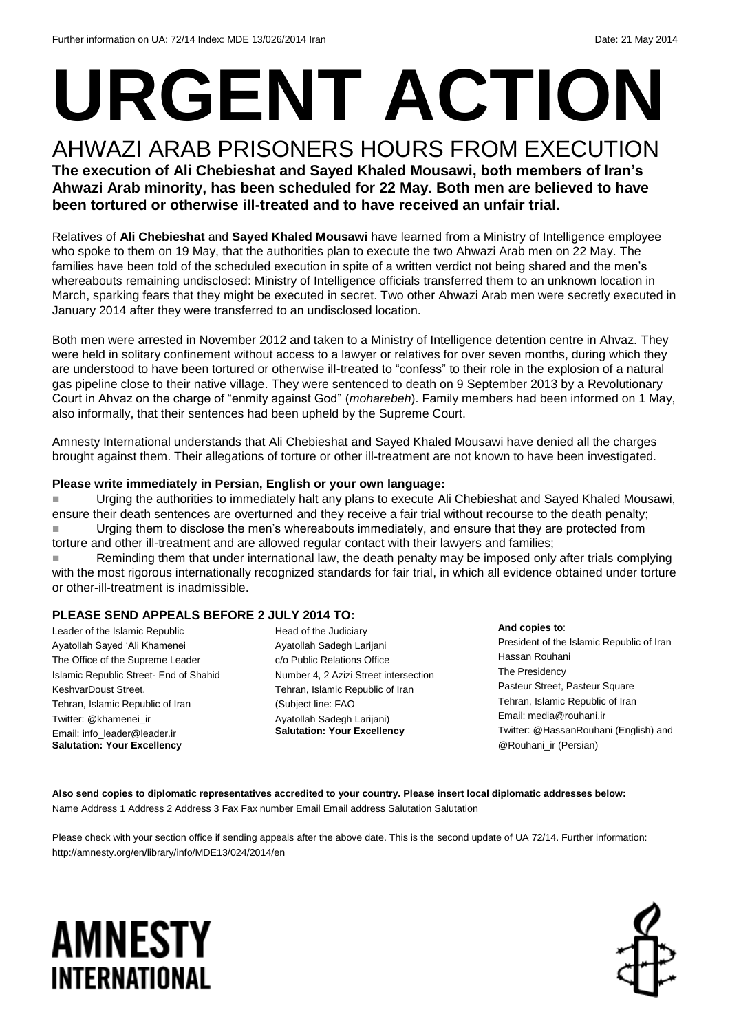# **URGENT ACTION**

AHWAZI ARAB PRISONERS HOURS FROM EXECUTION **The execution of Ali Chebieshat and Sayed Khaled Mousawi, both members of Iran's Ahwazi Arab minority, has been scheduled for 22 May. Both men are believed to have been tortured or otherwise ill-treated and to have received an unfair trial.**

Relatives of **Ali Chebieshat** and **Sayed Khaled Mousawi** have learned from a Ministry of Intelligence employee who spoke to them on 19 May, that the authorities plan to execute the two Ahwazi Arab men on 22 May. The families have been told of the scheduled execution in spite of a written verdict not being shared and the men's whereabouts remaining undisclosed: Ministry of Intelligence officials transferred them to an unknown location in March, sparking fears that they might be executed in secret. Two other Ahwazi Arab men were secretly executed in January 2014 after they were transferred to an undisclosed location.

Both men were arrested in November 2012 and taken to a Ministry of Intelligence detention centre in Ahvaz. They were held in solitary confinement without access to a lawyer or relatives for over seven months, during which they are understood to have been tortured or otherwise ill-treated to "confess" to their role in the explosion of a natural gas pipeline close to their native village. They were sentenced to death on 9 September 2013 by a Revolutionary Court in Ahvaz on the charge of "enmity against God" (*moharebeh*). Family members had been informed on 1 May, also informally, that their sentences had been upheld by the Supreme Court.

Amnesty International understands that Ali Chebieshat and Sayed Khaled Mousawi have denied all the charges brought against them. Their allegations of torture or other ill-treatment are not known to have been investigated.

#### **Please write immediately in Persian, English or your own language:**

 Urging the authorities to immediately halt any plans to execute Ali Chebieshat and Sayed Khaled Mousawi, ensure their death sentences are overturned and they receive a fair trial without recourse to the death penalty; ■ Urging them to disclose the men's whereabouts immediately, and ensure that they are protected from torture and other ill-treatment and are allowed regular contact with their lawyers and families;

Reminding them that under international law, the death penalty may be imposed only after trials complying with the most rigorous internationally recognized standards for fair trial, in which all evidence obtained under torture or other-ill-treatment is inadmissible.

#### **PLEASE SEND APPEALS BEFORE 2 JULY 2014 TO:**

Leader of the Islamic Republic Ayatollah Sayed 'Ali Khamenei The Office of the Supreme Leader Islamic Republic Street- End of Shahid KeshvarDoust Street, Tehran, Islamic Republic of Iran Twitter: @khamenei\_ir Email: info\_leader@leader.ir **Salutation: Your Excellency**

Head of the Judiciary Ayatollah Sadegh Larijani c/o Public Relations Office Number 4, 2 Azizi Street intersection Tehran, Islamic Republic of Iran (Subject line: FAO Ayatollah Sadegh Larijani) **Salutation: Your Excellency** 

#### **And copies to**:

President of the Islamic Republic of Iran Hassan Rouhani The Presidency Pasteur Street, Pasteur Square Tehran, Islamic Republic of Iran Email: media@rouhani.ir Twitter: @HassanRouhani (English) and @Rouhani\_ir (Persian)

**Also send copies to diplomatic representatives accredited to your country. Please insert local diplomatic addresses below:** Name Address 1 Address 2 Address 3 Fax Fax number Email Email address Salutation Salutation

Please check with your section office if sending appeals after the above date. This is the second update of UA 72/14. Further information: http://amnesty.org/en/library/info/MDE13/024/2014/en